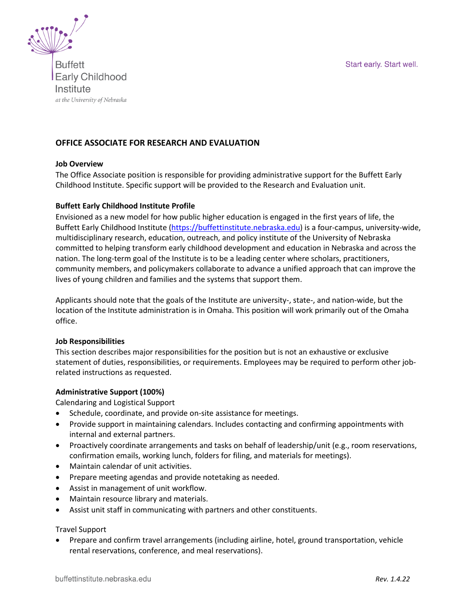Start early. Start well.



**Buffett Early Childhood** Institute at the University of Nebraska

# **OFFICE ASSOCIATE FOR RESEARCH AND EVALUATION**

#### **Job Overview**

The Office Associate position is responsible for providing administrative support for the Buffett Early Childhood Institute. Specific support will be provided to the Research and Evaluation unit.

#### **Buffett Early Childhood Institute Profile**

Envisioned as a new model for how public higher education is engaged in the first years of life, the Buffett Early Childhood Institute [\(https://buffettinstitute.nebraska.edu\)](https://buffettinstitute.nebraska.edu/) is a four-campus, university-wide, multidisciplinary research, education, outreach, and policy institute of the University of Nebraska committed to helping transform early childhood development and education in Nebraska and across the nation. The long-term goal of the Institute is to be a leading center where scholars, practitioners, community members, and policymakers collaborate to advance a unified approach that can improve the lives of young children and families and the systems that support them.

Applicants should note that the goals of the Institute are university-, state-, and nation-wide, but the location of the Institute administration is in Omaha. This position will work primarily out of the Omaha office.

#### **Job Responsibilities**

This section describes major responsibilities for the position but is not an exhaustive or exclusive statement of duties, responsibilities, or requirements. Employees may be required to perform other jobrelated instructions as requested.

### **Administrative Support (100%)**

Calendaring and Logistical Support

- Schedule, coordinate, and provide on-site assistance for meetings.
- Provide support in maintaining calendars. Includes contacting and confirming appointments with internal and external partners.
- Proactively coordinate arrangements and tasks on behalf of leadership/unit (e.g., room reservations, confirmation emails, working lunch, folders for filing, and materials for meetings).
- Maintain calendar of unit activities.
- Prepare meeting agendas and provide notetaking as needed.
- Assist in management of unit workflow.
- Maintain resource library and materials.
- Assist unit staff in communicating with partners and other constituents.

#### Travel Support

• Prepare and confirm travel arrangements (including airline, hotel, ground transportation, vehicle rental reservations, conference, and meal reservations).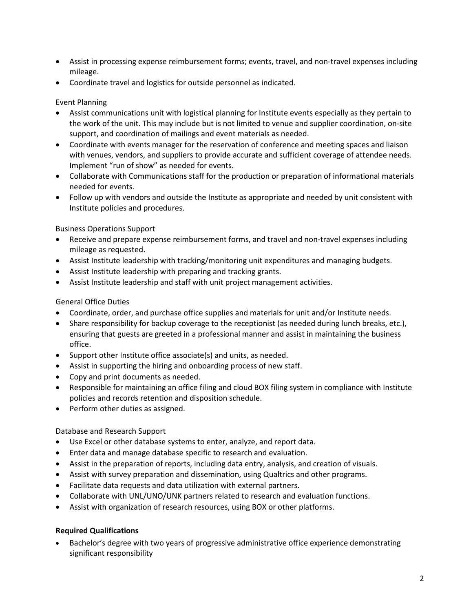- Assist in processing expense reimbursement forms; events, travel, and non-travel expenses including mileage.
- Coordinate travel and logistics for outside personnel as indicated.

# Event Planning

- Assist communications unit with logistical planning for Institute events especially as they pertain to the work of the unit. This may include but is not limited to venue and supplier coordination, on-site support, and coordination of mailings and event materials as needed.
- Coordinate with events manager for the reservation of conference and meeting spaces and liaison with venues, vendors, and suppliers to provide accurate and sufficient coverage of attendee needs. Implement "run of show" as needed for events.
- Collaborate with Communications staff for the production or preparation of informational materials needed for events.
- Follow up with vendors and outside the Institute as appropriate and needed by unit consistent with Institute policies and procedures.

Business Operations Support

- Receive and prepare expense reimbursement forms, and travel and non-travel expenses including mileage as requested.
- Assist Institute leadership with tracking/monitoring unit expenditures and managing budgets.
- Assist Institute leadership with preparing and tracking grants.
- Assist Institute leadership and staff with unit project management activities.

# General Office Duties

- Coordinate, order, and purchase office supplies and materials for unit and/or Institute needs.
- Share responsibility for backup coverage to the receptionist (as needed during lunch breaks, etc.), ensuring that guests are greeted in a professional manner and assist in maintaining the business office.
- Support other Institute office associate(s) and units, as needed.
- Assist in supporting the hiring and onboarding process of new staff.
- Copy and print documents as needed.
- Responsible for maintaining an office filing and cloud BOX filing system in compliance with Institute policies and records retention and disposition schedule.
- Perform other duties as assigned.

Database and Research Support

- Use Excel or other database systems to enter, analyze, and report data.
- Enter data and manage database specific to research and evaluation.
- Assist in the preparation of reports, including data entry, analysis, and creation of visuals.
- Assist with survey preparation and dissemination, using Qualtrics and other programs.
- Facilitate data requests and data utilization with external partners.
- Collaborate with UNL/UNO/UNK partners related to research and evaluation functions.
- Assist with organization of research resources, using BOX or other platforms.

# **Required Qualifications**

• Bachelor's degree with two years of progressive administrative office experience demonstrating significant responsibility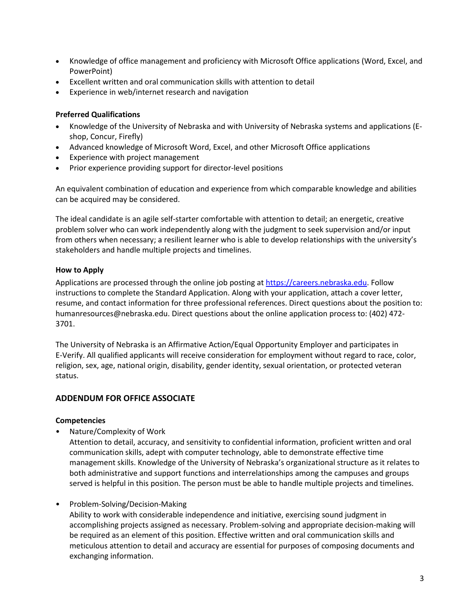- Knowledge of office management and proficiency with Microsoft Office applications (Word, Excel, and PowerPoint)
- Excellent written and oral communication skills with attention to detail
- Experience in web/internet research and navigation

### **Preferred Qualifications**

- Knowledge of the University of Nebraska and with University of Nebraska systems and applications (Eshop, Concur, Firefly)
- Advanced knowledge of Microsoft Word, Excel, and other Microsoft Office applications
- Experience with project management
- Prior experience providing support for director-level positions

An equivalent combination of education and experience from which comparable knowledge and abilities can be acquired may be considered.

The ideal candidate is an agile self-starter comfortable with attention to detail; an energetic, creative problem solver who can work independently along with the judgment to seek supervision and/or input from others when necessary; a resilient learner who is able to develop relationships with the university's stakeholders and handle multiple projects and timelines.

### **How to Apply**

Applications are processed through the online job posting at [https://careers.nebraska.edu.](https://careers.nebraska.edu/) Follow instructions to complete the Standard Application. Along with your application, attach a cover letter, resume, and contact information for three professional references. Direct questions about the position to: humanresources@nebraska.edu. Direct questions about the online application process to: (402) 472- 3701.

The University of Nebraska is an Affirmative Action/Equal Opportunity Employer and participates in E-Verify. All qualified applicants will receive consideration for employment without regard to race, color, religion, sex, age, national origin, disability, gender identity, sexual orientation, or protected veteran status.

# **ADDENDUM FOR OFFICE ASSOCIATE**

### **Competencies**

• Nature/Complexity of Work

Attention to detail, accuracy, and sensitivity to confidential information, proficient written and oral communication skills, adept with computer technology, able to demonstrate effective time management skills. Knowledge of the University of Nebraska's organizational structure as it relates to both administrative and support functions and interrelationships among the campuses and groups served is helpful in this position. The person must be able to handle multiple projects and timelines.

### • Problem-Solving/Decision-Making

Ability to work with considerable independence and initiative, exercising sound judgment in accomplishing projects assigned as necessary. Problem-solving and appropriate decision-making will be required as an element of this position. Effective written and oral communication skills and meticulous attention to detail and accuracy are essential for purposes of composing documents and exchanging information.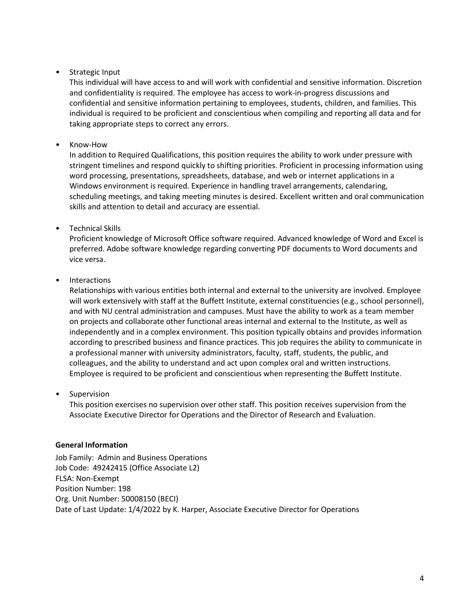# • Strategic Input

This individual will have access to and will work with confidential and sensitive information. Discretion and confidentiality is required. The employee has access to work-in-progress discussions and confidential and sensitive information pertaining to employees, students, children, and families. This individual is required to be proficient and conscientious when compiling and reporting all data and for taking appropriate steps to correct any errors.

### • Know-How

In addition to Required Qualifications, this position requires the ability to work under pressure with stringent timelines and respond quickly to shifting priorities. Proficient in processing information using word processing, presentations, spreadsheets, database, and web or internet applications in a Windows environment is required. Experience in handling travel arrangements, calendaring, scheduling meetings, and taking meeting minutes is desired. Excellent written and oral communication skills and attention to detail and accuracy are essential.

### • Technical Skills

Proficient knowledge of Microsoft Office software required. Advanced knowledge of Word and Excel is preferred. Adobe software knowledge regarding converting PDF documents to Word documents and vice versa.

# **Interactions**

Relationships with various entities both internal and external to the university are involved. Employee will work extensively with staff at the Buffett Institute, external constituencies (e.g., school personnel), and with NU central administration and campuses. Must have the ability to work as a team member on projects and collaborate other functional areas internal and external to the Institute, as well as independently and in a complex environment. This position typically obtains and provides information according to prescribed business and finance practices. This job requires the ability to communicate in a professional manner with university administrators, faculty, staff, students, the public, and colleagues, and the ability to understand and act upon complex oral and written instructions. Employee is required to be proficient and conscientious when representing the Buffett Institute.

### **Supervision**

This position exercises no supervision over other staff. This position receives supervision from the Associate Executive Director for Operations and the Director of Research and Evaluation.

### **General Information**

Job Family: Admin and Business Operations Job Code: 49242415 (Office Associate L2) FLSA: Non-Exempt Position Number: 198 Org. Unit Number: 50008150 (BECI) Date of Last Update: 1/4/2022 by K. Harper, Associate Executive Director for Operations